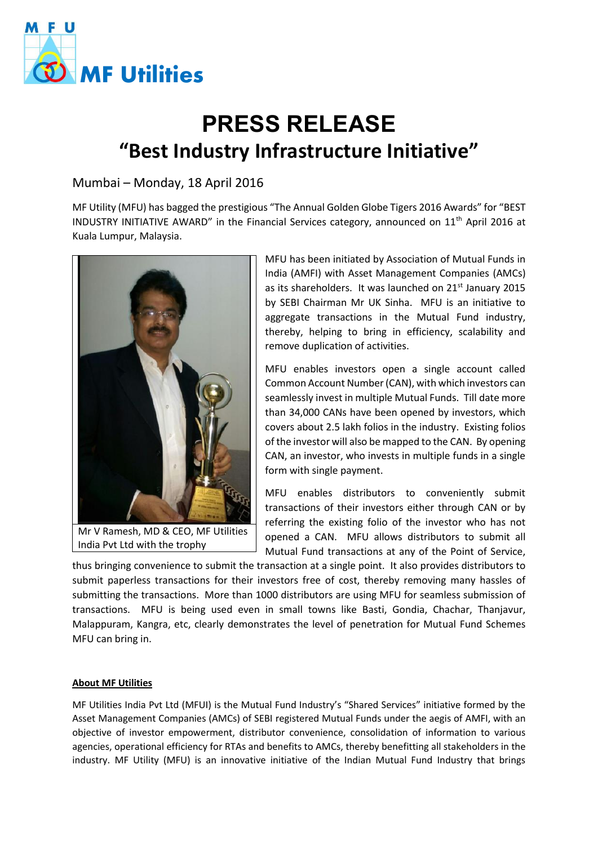

## **PRESS RELEASE "Best Industry Infrastructure Initiative"**

## Mumbai – Monday, 18 April 2016

MF Utility (MFU) has bagged the prestigious "The Annual Golden Globe Tigers 2016 Awards" for "BEST INDUSTRY INITIATIVE AWARD" in the Financial Services category, announced on 11<sup>th</sup> April 2016 at Kuala Lumpur, Malaysia.



India Pvt Ltd with the trophy

MFU has been initiated by Association of Mutual Funds in India (AMFI) with Asset Management Companies (AMCs) as its shareholders. It was launched on 21<sup>st</sup> January 2015 by SEBI Chairman Mr UK Sinha. MFU is an initiative to aggregate transactions in the Mutual Fund industry, thereby, helping to bring in efficiency, scalability and remove duplication of activities.

MFU enables investors open a single account called Common Account Number (CAN), with which investors can seamlessly invest in multiple Mutual Funds. Till date more than 34,000 CANs have been opened by investors, which covers about 2.5 lakh folios in the industry. Existing folios of the investor will also be mapped to the CAN. By opening CAN, an investor, who invests in multiple funds in a single form with single payment.

MFU enables distributors to conveniently submit transactions of their investors either through CAN or by referring the existing folio of the investor who has not opened a CAN. MFU allows distributors to submit all Mutual Fund transactions at any of the Point of Service,

thus bringing convenience to submit the transaction at a single point. It also provides distributors to submit paperless transactions for their investors free of cost, thereby removing many hassles of submitting the transactions. More than 1000 distributors are using MFU for seamless submission of transactions. MFU is being used even in small towns like Basti, Gondia, Chachar, Thanjavur, Malappuram, Kangra, etc, clearly demonstrates the level of penetration for Mutual Fund Schemes MFU can bring in.

## **About MF Utilities**

MF Utilities India Pvt Ltd (MFUI) is the Mutual Fund Industry's "Shared Services" initiative formed by the Asset Management Companies (AMCs) of SEBI registered Mutual Funds under the aegis of AMFI, with an objective of investor empowerment, distributor convenience, consolidation of information to various agencies, operational efficiency for RTAs and benefits to AMCs, thereby benefitting all stakeholders in the industry. MF Utility (MFU) is an innovative initiative of the Indian Mutual Fund Industry that brings